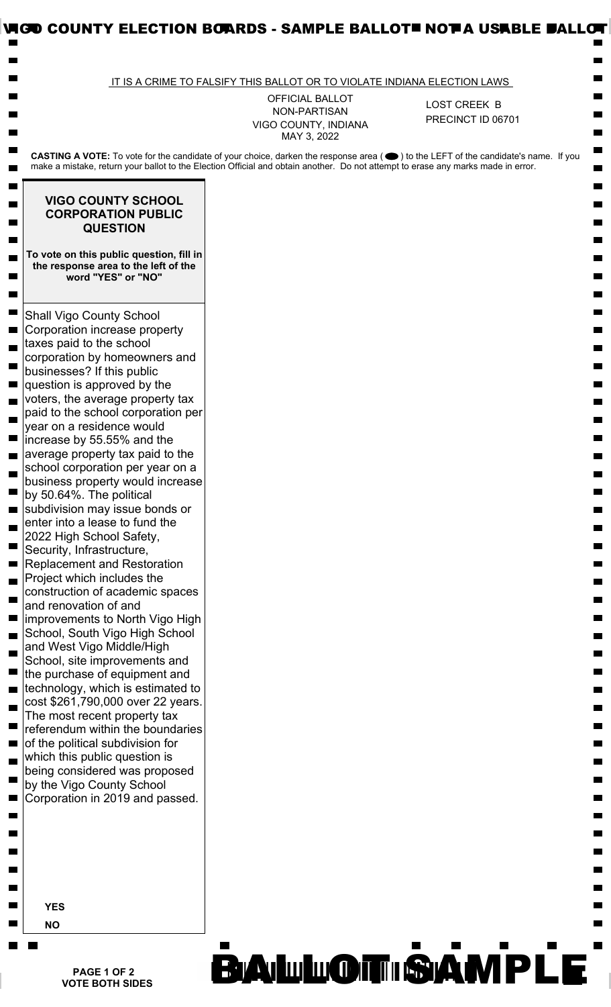|                                                                                                                                                                                                                                                                                                                                                                     | IT IS A CRIME TO FALSIFY THIS BALLOT OR TO VIOLATE INDIANA ELECTION LAWS      |                                   |
|---------------------------------------------------------------------------------------------------------------------------------------------------------------------------------------------------------------------------------------------------------------------------------------------------------------------------------------------------------------------|-------------------------------------------------------------------------------|-----------------------------------|
|                                                                                                                                                                                                                                                                                                                                                                     | <b>OFFICIAL BALLOT</b><br>NON-PARTISAN<br>VIGO COUNTY, INDIANA<br>MAY 3, 2022 | LOST CREEK B<br>PRECINCT ID 06701 |
| CASTING A VOTE: To vote for the candidate of your choice, darken the response area (●) to the LEFT of the candidate's name. If you<br>make a mistake, return your ballot to the Election Official and obtain another. Do not attempt to erase any marks made in error.                                                                                              |                                                                               |                                   |
| <b>VIGO COUNTY SCHOOL</b><br><b>CORPORATION PUBLIC</b><br><b>QUESTION</b>                                                                                                                                                                                                                                                                                           |                                                                               |                                   |
| To vote on this public question, fill in<br>the response area to the left of the<br>word "YES" or "NO"                                                                                                                                                                                                                                                              |                                                                               |                                   |
| <b>Shall Vigo County School</b><br>Corporation increase property<br>taxes paid to the school<br>corporation by homeowners and<br>businesses? If this public<br>question is approved by the<br>voters, the average property tax<br>paid to the school corporation per<br>year on a residence would<br>increase by 55.55% and the<br>average property tax paid to the |                                                                               |                                   |
| school corporation per year on a<br>business property would increase<br>by 50.64%. The political<br>subdivision may issue bonds or<br>enter into a lease to fund the<br>2022 High School Safety,<br>Security, Infrastructure,                                                                                                                                       |                                                                               |                                   |
| <b>Replacement and Restoration</b><br>Project which includes the<br>construction of academic spaces<br>and renovation of and<br>improvements to North Vigo High<br>School, South Vigo High School<br>and West Vigo Middle/High<br>School, site improvements and                                                                                                     |                                                                               |                                   |
| the purchase of equipment and<br>technology, which is estimated to<br>cost \$261,790,000 over 22 years.<br>The most recent property tax<br>referendum within the boundaries<br>of the political subdivision for                                                                                                                                                     |                                                                               |                                   |
| which this public question is<br>being considered was proposed<br>by the Vigo County School<br>Corporation in 2019 and passed.                                                                                                                                                                                                                                      |                                                                               |                                   |
|                                                                                                                                                                                                                                                                                                                                                                     |                                                                               |                                   |
| <b>YES</b><br><b>NO</b>                                                                                                                                                                                                                                                                                                                                             |                                                                               |                                   |